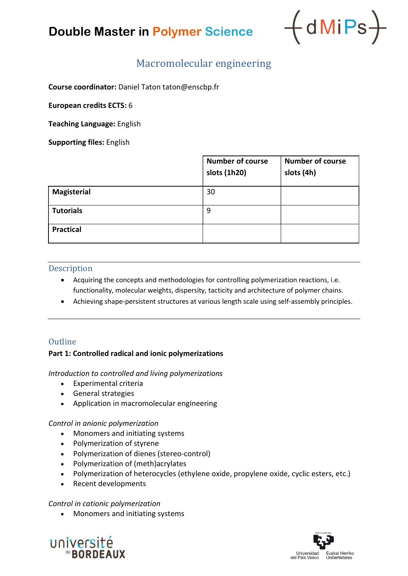## Double Master in Polymer Science



## Macromolecular engineering

Course coordinator: Daniel Taton taton@enscbp.fr

European credits ECTS: 6

Teaching Language: English

Supporting files: English

|                    | <b>Number of course</b><br>slots (1h20) | <b>Number of course</b><br>slots (4h) |
|--------------------|-----------------------------------------|---------------------------------------|
| <b>Magisterial</b> | 30                                      |                                       |
| <b>Tutorials</b>   | 9                                       |                                       |
| <b>Practical</b>   |                                         |                                       |

## Description

- Acquiring the concepts and methodologies for controlling polymerization reactions, i.e. functionality, molecular weights, dispersity, tacticity and architecture of polymer chains.
- Achieving shape-persistent structures at various length scale using self-assembly principles.

## **Outline**

## Part 1: Controlled radical and ionic polymerizations

Introduction to controlled and living polymerizations

- Experimental criteria
- General strategies
- Application in macromolecular engineering

#### Control in anionic polymerization

- Monomers and initiating systems
- Polymerization of styrene
- Polymerization of dienes (stereo-control)
- Polymerization of (meth)acrylates
- Polymerization of heterocycles (ethylene oxide, propylene oxide, cyclic esters, etc.)
- Recent developments

#### Control in cationic polymerization

• Monomers and initiating systems



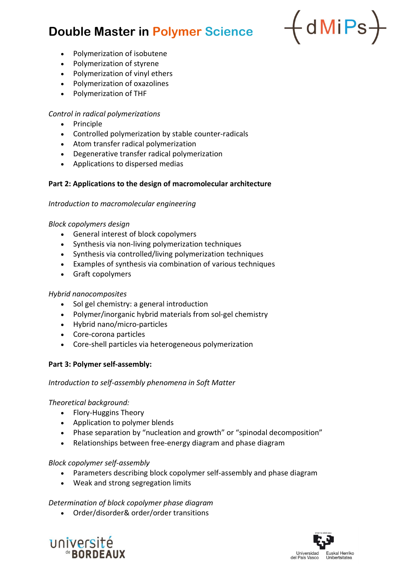## Double Master in Polymer Science



- Polymerization of isobutene
- Polymerization of styrene
- Polymerization of vinyl ethers
- Polymerization of oxazolines
- Polymerization of THF

#### Control in radical polymerizations

- Principle
- Controlled polymerization by stable counter-radicals
- Atom transfer radical polymerization
- Degenerative transfer radical polymerization
- Applications to dispersed medias

#### Part 2: Applications to the design of macromolecular architecture

#### Introduction to macromolecular engineering

#### Block copolymers design

- General interest of block copolymers
- Synthesis via non-living polymerization techniques
- Synthesis via controlled/living polymerization techniques
- Examples of synthesis via combination of various techniques
- Graft copolymers

#### Hybrid nanocomposites

- Sol gel chemistry: a general introduction
- Polymer/inorganic hybrid materials from sol-gel chemistry
- Hybrid nano/micro-particles
- Core-corona particles
- Core-shell particles via heterogeneous polymerization

#### Part 3: Polymer self-assembly:

#### Introduction to self-assembly phenomena in Soft Matter

#### Theoretical background:

- Flory-Huggins Theory
- Application to polymer blends
- Phase separation by "nucleation and growth" or "spinodal decomposition"
- Relationships between free-energy diagram and phase diagram

#### Block copolymer self-assembly

- Parameters describing block copolymer self-assembly and phase diagram
- Weak and strong segregation limits

#### Determination of block copolymer phase diagram

Order/disorder& order/order transitions